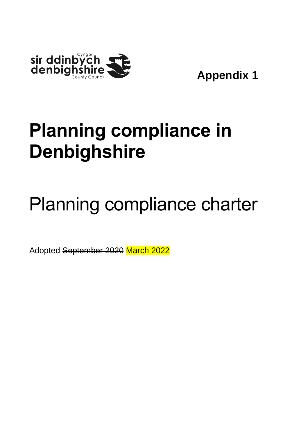

**Appendix 1**

# **Planning compliance in Denbighshire**

# Planning compliance charter

Adopted September 2020 March 2022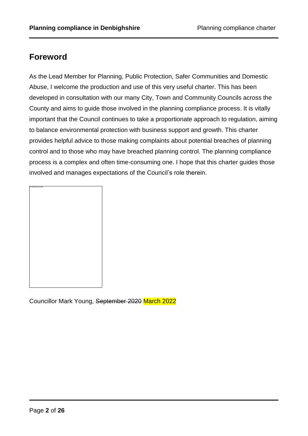# **Foreword**

As the Lead Member for Planning, Public Protection, Safer Communities and Domestic Abuse, I welcome the production and use of this very useful charter. This has been developed in consultation with our many City, Town and Community Councils across the County and aims to guide those involved in the planning compliance process. It is vitally important that the Council continues to take a proportionate approach to regulation, aiming to balance environmental protection with business support and growth. This charter provides helpful advice to those making complaints about potential breaches of planning control and to those who may have breached planning control. The planning compliance process is a complex and often time-consuming one. I hope that this charter guides those involved and manages expectations of the Council's role therein.

| This image cannot narratin be displayed. |  |  |
|------------------------------------------|--|--|
|                                          |  |  |
|                                          |  |  |
|                                          |  |  |
|                                          |  |  |
|                                          |  |  |
|                                          |  |  |
|                                          |  |  |
|                                          |  |  |
|                                          |  |  |
|                                          |  |  |
|                                          |  |  |
|                                          |  |  |
|                                          |  |  |
|                                          |  |  |
|                                          |  |  |
|                                          |  |  |
|                                          |  |  |
|                                          |  |  |
|                                          |  |  |
|                                          |  |  |
|                                          |  |  |
|                                          |  |  |
|                                          |  |  |
|                                          |  |  |
|                                          |  |  |
|                                          |  |  |
|                                          |  |  |
|                                          |  |  |
|                                          |  |  |
|                                          |  |  |
|                                          |  |  |
|                                          |  |  |
|                                          |  |  |
|                                          |  |  |
|                                          |  |  |
|                                          |  |  |
|                                          |  |  |
|                                          |  |  |
|                                          |  |  |
|                                          |  |  |
|                                          |  |  |
|                                          |  |  |
|                                          |  |  |
|                                          |  |  |
|                                          |  |  |
|                                          |  |  |
|                                          |  |  |
|                                          |  |  |
|                                          |  |  |
|                                          |  |  |
|                                          |  |  |
|                                          |  |  |
|                                          |  |  |
|                                          |  |  |
|                                          |  |  |
|                                          |  |  |
|                                          |  |  |
|                                          |  |  |
|                                          |  |  |
|                                          |  |  |
|                                          |  |  |
|                                          |  |  |
|                                          |  |  |
|                                          |  |  |
|                                          |  |  |
|                                          |  |  |
|                                          |  |  |
|                                          |  |  |
|                                          |  |  |
|                                          |  |  |
|                                          |  |  |
|                                          |  |  |
|                                          |  |  |
|                                          |  |  |
|                                          |  |  |
|                                          |  |  |
|                                          |  |  |
|                                          |  |  |
|                                          |  |  |
|                                          |  |  |
|                                          |  |  |
|                                          |  |  |
|                                          |  |  |
|                                          |  |  |
|                                          |  |  |
|                                          |  |  |
|                                          |  |  |
|                                          |  |  |
|                                          |  |  |
|                                          |  |  |
|                                          |  |  |
|                                          |  |  |
|                                          |  |  |
|                                          |  |  |
|                                          |  |  |
|                                          |  |  |
|                                          |  |  |
|                                          |  |  |
|                                          |  |  |
|                                          |  |  |
|                                          |  |  |
|                                          |  |  |
|                                          |  |  |
|                                          |  |  |
|                                          |  |  |

Councillor Mark Young, September 2020 March 2022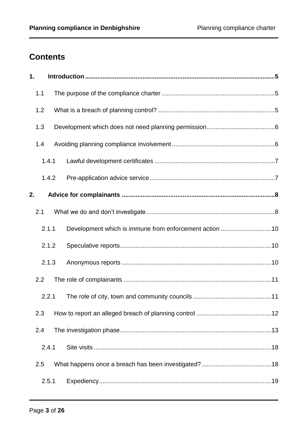# **Contents**

| 1.  |       |                                                        |
|-----|-------|--------------------------------------------------------|
| 1.1 |       |                                                        |
| 1.2 |       |                                                        |
| 1.3 |       |                                                        |
| 1.4 |       |                                                        |
|     | 1.4.1 |                                                        |
|     | 1.4.2 |                                                        |
| 2.  |       |                                                        |
| 2.1 |       |                                                        |
|     | 2.1.1 | Development which is immune from enforcement action 10 |
|     | 2.1.2 |                                                        |
|     | 2.1.3 |                                                        |
| 2.2 |       |                                                        |
|     | 2.2.1 |                                                        |
| 2.3 |       |                                                        |
| 2.4 |       |                                                        |
|     | 2.4.1 |                                                        |
| 2.5 |       |                                                        |
|     | 2.5.1 |                                                        |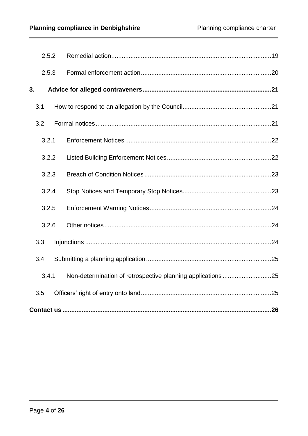|     | 2.5.2 |  |  |
|-----|-------|--|--|
|     | 2.5.3 |  |  |
| 3.  |       |  |  |
| 3.1 |       |  |  |
| 3.2 |       |  |  |
|     | 3.2.1 |  |  |
|     | 3.2.2 |  |  |
|     | 3.2.3 |  |  |
|     | 3.2.4 |  |  |
|     | 3.2.5 |  |  |
|     | 3.2.6 |  |  |
| 3.3 |       |  |  |
| 3.4 |       |  |  |
|     | 3.4.1 |  |  |
| 3.5 |       |  |  |
|     |       |  |  |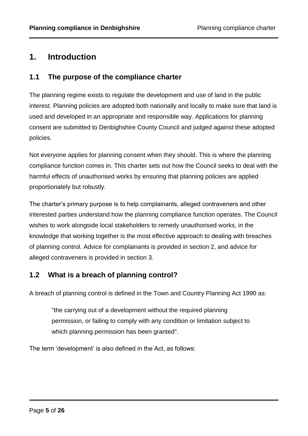# <span id="page-4-0"></span>**1. Introduction**

# <span id="page-4-1"></span>**1.1 The purpose of the compliance charter**

The planning regime exists to regulate the development and use of land in the public interest. Planning policies are adopted both nationally and locally to make sure that land is used and developed in an appropriate and responsible way. Applications for planning consent are submitted to Denbighshire County Council and judged against these adopted policies.

Not everyone applies for planning consent when they should. This is where the planning compliance function comes in. This charter sets out how the Council seeks to deal with the harmful effects of unauthorised works by ensuring that planning policies are applied proportionately but robustly.

The charter's primary purpose is to help complainants, alleged contraveners and other interested parties understand how the planning compliance function operates. The Council wishes to work alongside local stakeholders to remedy unauthorised works, in the knowledge that working together is the most effective approach to dealing with breaches of planning control. Advice for complainants is provided in section 2, and advice for alleged contraveners is provided in section 3.

# <span id="page-4-2"></span>**1.2 What is a breach of planning control?**

A breach of planning control is defined in the Town and Country Planning Act 1990 as:

"the carrying out of a development without the required planning permission, or failing to comply with any condition or limitation subject to which planning permission has been granted".

The term 'development' is also defined in the Act, as follows: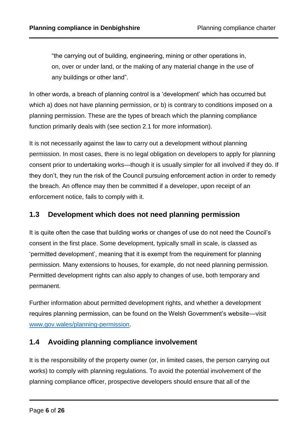"the carrying out of building, engineering, mining or other operations in, on, over or under land, or the making of any material change in the use of any buildings or other land".

In other words, a breach of planning control is a 'development' which has occurred but which a) does not have planning permission, or b) is contrary to conditions imposed on a planning permission. These are the types of breach which the planning compliance function primarily deals with (see section 2.1 for more information).

It is not necessarily against the law to carry out a development without planning permission. In most cases, there is no legal obligation on developers to apply for planning consent prior to undertaking works—though it is usually simpler for all involved if they do. If they don't, they run the risk of the Council pursuing enforcement action in order to remedy the breach. An offence may then be committed if a developer, upon receipt of an enforcement notice, fails to comply with it.

# <span id="page-5-0"></span>**1.3 Development which does not need planning permission**

It is quite often the case that building works or changes of use do not need the Council's consent in the first place. Some development, typically small in scale, is classed as 'permitted development', meaning that it is exempt from the requirement for planning permission. Many extensions to houses, for example, do not need planning permission. Permitted development rights can also apply to changes of use, both temporary and permanent.

Further information about permitted development rights, and whether a development requires planning permission, can be found on the Welsh Government's website—visit [www.gov.wales/planning-permission.](http://www.gov.wales/planning-permission)

# <span id="page-5-1"></span>**1.4 Avoiding planning compliance involvement**

It is the responsibility of the property owner (or, in limited cases, the person carrying out works) to comply with planning regulations. To avoid the potential involvement of the planning compliance officer, prospective developers should ensure that all of the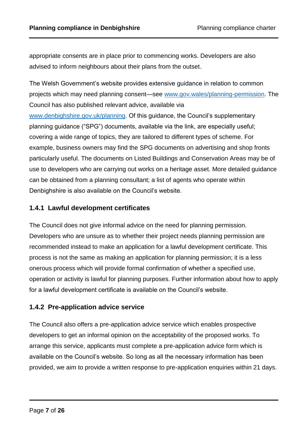appropriate consents are in place prior to commencing works. Developers are also advised to inform neighbours about their plans from the outset.

The Welsh Government's website provides extensive guidance in relation to common projects which may need planning consent—see [www.gov.wales/planning-permission.](http://www.gov.wales/planning-permission) The Council has also published relevant advice, available via [www.denbighshire.gov.uk/planning.](http://www.denbighshire.gov.uk/planning) Of this guidance, the Council's supplementary planning guidance ("SPG") documents, available via the link, are especially useful; covering a wide range of topics, they are tailored to different types of scheme. For example, business owners may find the SPG documents on advertising and shop fronts particularly useful. The documents on Listed Buildings and Conservation Areas may be of use to developers who are carrying out works on a heritage asset. More detailed guidance can be obtained from a planning consultant; a list of agents who operate within Denbighshire is also available on the Council's website.

## <span id="page-6-0"></span>**1.4.1 Lawful development certificates**

The Council does not give informal advice on the need for planning permission. Developers who are unsure as to whether their project needs planning permission are recommended instead to make an application for a lawful development certificate. This process is not the same as making an application for planning permission; it is a less onerous process which will provide formal confirmation of whether a specified use, operation or activity is lawful for planning purposes. Further information about how to apply for a lawful development certificate is available on the Council's website.

## <span id="page-6-1"></span>**1.4.2 Pre-application advice service**

The Council also offers a pre-application advice service which enables prospective developers to get an informal opinion on the acceptability of the proposed works. To arrange this service, applicants must complete a pre-application advice form which is available on the Council's website. So long as all the necessary information has been provided, we aim to provide a written response to pre-application enquiries within 21 days.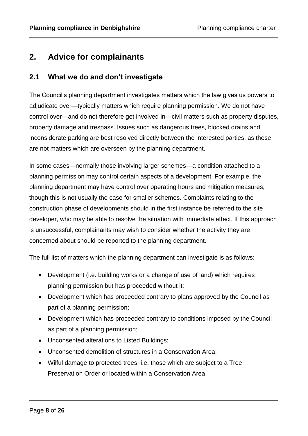# <span id="page-7-0"></span>**2. Advice for complainants**

# <span id="page-7-1"></span>**2.1 What we do and don't investigate**

The Council's planning department investigates matters which the law gives us powers to adjudicate over—typically matters which require planning permission. We do not have control over—and do not therefore get involved in—civil matters such as property disputes, property damage and trespass. Issues such as dangerous trees, blocked drains and inconsiderate parking are best resolved directly between the interested parties, as these are not matters which are overseen by the planning department.

In some cases—normally those involving larger schemes—a condition attached to a planning permission may control certain aspects of a development. For example, the planning department may have control over operating hours and mitigation measures, though this is not usually the case for smaller schemes. Complaints relating to the construction phase of developments should in the first instance be referred to the site developer, who may be able to resolve the situation with immediate effect. If this approach is unsuccessful, complainants may wish to consider whether the activity they are concerned about should be reported to the planning department.

The full list of matters which the planning department can investigate is as follows:

- Development (i.e. building works or a change of use of land) which requires planning permission but has proceeded without it;
- Development which has proceeded contrary to plans approved by the Council as part of a planning permission;
- Development which has proceeded contrary to conditions imposed by the Council as part of a planning permission;
- Unconsented alterations to Listed Buildings;
- Unconsented demolition of structures in a Conservation Area;
- Wilful damage to protected trees, i.e. those which are subject to a Tree Preservation Order or located within a Conservation Area;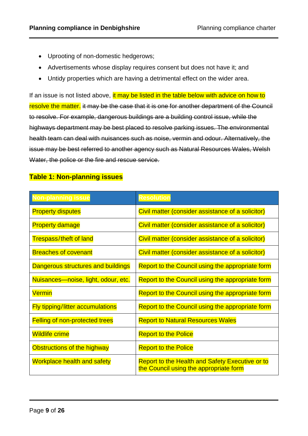- Uprooting of non-domestic hedgerows;
- Advertisements whose display requires consent but does not have it; and
- Untidy properties which are having a detrimental effect on the wider area.

If an issue is not listed above, it may be listed in the table below with advice on how to resolve the matter. it may be the case that it is one for another department of the Council to resolve. For example, dangerous buildings are a building control issue, while the highways department may be best placed to resolve parking issues. The environmental health team can deal with nuisances such as noise, vermin and odour. Alternatively, the issue may be best referred to another agency such as Natural Resources Wales, Welsh Water, the police or the fire and rescue service.

#### **Table 1: Non-planning issues**

| <b>Non-planning issue</b>               | Resolution                                                                                       |
|-----------------------------------------|--------------------------------------------------------------------------------------------------|
| <b>Property disputes</b>                | Civil matter (consider assistance of a solicitor)                                                |
| <b>Property damage</b>                  | Civil matter (consider assistance of a solicitor)                                                |
| <b>Trespass/theft of land</b>           | Civil matter (consider assistance of a solicitor)                                                |
| <b>Breaches of covenant</b>             | Civil matter (consider assistance of a solicitor)                                                |
| Dangerous structures and buildings      | Report to the Council using the appropriate form                                                 |
| Nuisances—noise, light, odour, etc.     | Report to the Council using the appropriate form                                                 |
| <b>Vermin</b>                           | Report to the Council using the appropriate form                                                 |
| <b>Fly tipping/litter accumulations</b> | Report to the Council using the appropriate form                                                 |
| <b>Felling of non-protected trees</b>   | <b>Report to Natural Resources Wales</b>                                                         |
| <b>Wildlife crime</b>                   | <b>Report to the Police</b>                                                                      |
| Obstructions of the highway             | <b>Report to the Police</b>                                                                      |
| <b>Workplace health and safety</b>      | <b>Report to the Health and Safety Executive or to</b><br>the Council using the appropriate form |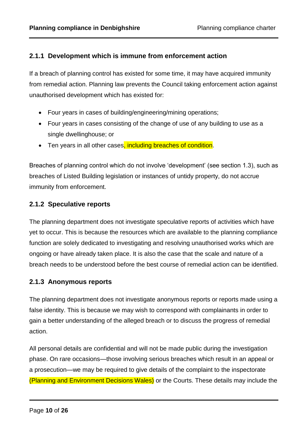# <span id="page-9-0"></span>**2.1.1 Development which is immune from enforcement action**

If a breach of planning control has existed for some time, it may have acquired immunity from remedial action. Planning law prevents the Council taking enforcement action against unauthorised development which has existed for:

- Four years in cases of building/engineering/mining operations;
- Four years in cases consisting of the change of use of any building to use as a single dwellinghouse; or
- Ten years in all other cases, including breaches of condition.

Breaches of planning control which do not involve 'development' (see section 1.3), such as breaches of Listed Building legislation or instances of untidy property, do not accrue immunity from enforcement.

# <span id="page-9-1"></span>**2.1.2 Speculative reports**

The planning department does not investigate speculative reports of activities which have yet to occur. This is because the resources which are available to the planning compliance function are solely dedicated to investigating and resolving unauthorised works which are ongoing or have already taken place. It is also the case that the scale and nature of a breach needs to be understood before the best course of remedial action can be identified.

## <span id="page-9-2"></span>**2.1.3 Anonymous reports**

The planning department does not investigate anonymous reports or reports made using a false identity. This is because we may wish to correspond with complainants in order to gain a better understanding of the alleged breach or to discuss the progress of remedial action.

All personal details are confidential and will not be made public during the investigation phase. On rare occasions—those involving serious breaches which result in an appeal or a prosecution—we may be required to give details of the complaint to the inspectorate (Planning and Environment Decisions Wales) or the Courts. These details may include the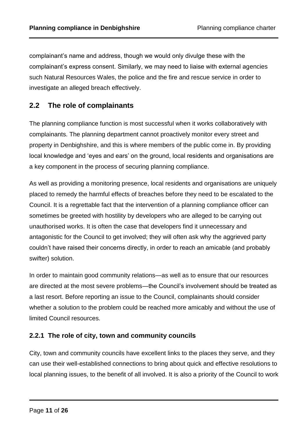complainant's name and address, though we would only divulge these with the complainant's express consent. Similarly, we may need to liaise with external agencies such Natural Resources Wales, the police and the fire and rescue service in order to investigate an alleged breach effectively.

# <span id="page-10-0"></span>**2.2 The role of complainants**

The planning compliance function is most successful when it works collaboratively with complainants. The planning department cannot proactively monitor every street and property in Denbighshire, and this is where members of the public come in. By providing local knowledge and 'eyes and ears' on the ground, local residents and organisations are a key component in the process of securing planning compliance.

As well as providing a monitoring presence, local residents and organisations are uniquely placed to remedy the harmful effects of breaches before they need to be escalated to the Council. It is a regrettable fact that the intervention of a planning compliance officer can sometimes be greeted with hostility by developers who are alleged to be carrying out unauthorised works. It is often the case that developers find it unnecessary and antagonistic for the Council to get involved; they will often ask why the aggrieved party couldn't have raised their concerns directly, in order to reach an amicable (and probably swifter) solution.

In order to maintain good community relations—as well as to ensure that our resources are directed at the most severe problems—the Council's involvement should be treated as a last resort. Before reporting an issue to the Council, complainants should consider whether a solution to the problem could be reached more amicably and without the use of limited Council resources.

## <span id="page-10-1"></span>**2.2.1 The role of city, town and community councils**

City, town and community councils have excellent links to the places they serve, and they can use their well-established connections to bring about quick and effective resolutions to local planning issues, to the benefit of all involved. It is also a priority of the Council to work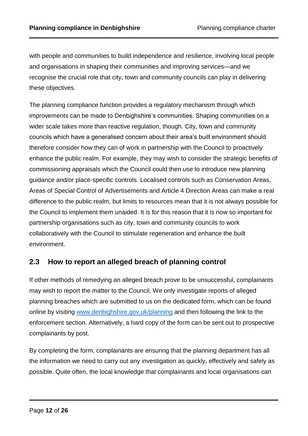with people and communities to build independence and resilience, involving local people and organisations in shaping their communities and improving services—and we recognise the crucial role that city, town and community councils can play in delivering these objectives.

The planning compliance function provides a regulatory mechanism through which improvements can be made to Denbighshire's communities. Shaping communities on a wider scale takes more than reactive regulation, though. City, town and community councils which have a generalised concern about their area's built environment should therefore consider how they can of work in partnership with the Council to proactively enhance the public realm. For example, they may wish to consider the strategic benefits of commissioning appraisals which the Council could then use to introduce new planning guidance and/or place-specific controls. Localised controls such as Conservation Areas, Areas of Special Control of Advertisements and Article 4 Direction Areas can make a real difference to the public realm, but limits to resources mean that it is not always possible for the Council to implement them unaided. It is for this reason that it is now so important for partnership organisations such as city, town and community councils to work collaboratively with the Council to stimulate regeneration and enhance the built environment.

# <span id="page-11-0"></span>**2.3 How to report an alleged breach of planning control**

If other methods of remedying an alleged breach prove to be unsuccessful, complainants may wish to report the matter to the Council. We only investigate reports of alleged planning breaches which are submitted to us on the dedicated form, which can be found online by visiting [www.denbighshire.gov.uk/planning](http://www.denbighshire.gov.uk/planning) and then following the link to the enforcement section. Alternatively, a hard copy of the form can be sent out to prospective complainants by post.

By completing the form, complainants are ensuring that the planning department has all the information we need to carry out any investigation as quickly, effectively and safely as possible. Quite often, the local knowledge that complainants and local organisations can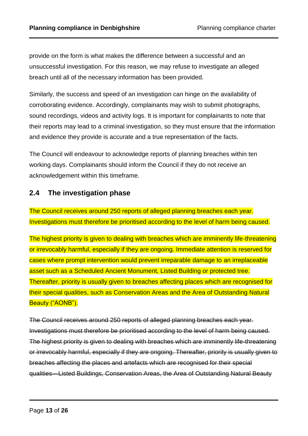provide on the form is what makes the difference between a successful and an unsuccessful investigation. For this reason, we may refuse to investigate an alleged breach until all of the necessary information has been provided.

Similarly, the success and speed of an investigation can hinge on the availability of corroborating evidence. Accordingly, complainants may wish to submit photographs, sound recordings, videos and activity logs. It is important for complainants to note that their reports may lead to a criminal investigation, so they must ensure that the information and evidence they provide is accurate and a true representation of the facts.

The Council will endeavour to acknowledge reports of planning breaches within ten working days. Complainants should inform the Council if they do not receive an acknowledgement within this timeframe.

# <span id="page-12-0"></span>**2.4 The investigation phase**

The Council receives around 250 reports of alleged planning breaches each year. Investigations must therefore be prioritised according to the level of harm being caused.

The highest priority is given to dealing with breaches which are imminently life-threatening or irrevocably harmful, especially if they are ongoing. Immediate attention is reserved for cases where prompt intervention would prevent irreparable damage to an irreplaceable asset such as a Scheduled Ancient Monument, Listed Building or protected tree. Thereafter, priority is usually given to breaches affecting places which are recognised for their special qualities, such as Conservation Areas and the Area of Outstanding Natural Beauty ("AONB").

The Council receives around 250 reports of alleged planning breaches each year. Investigations must therefore be prioritised according to the level of harm being caused. The highest priority is given to dealing with breaches which are imminently life-threatening or irrevocably harmful, especially if they are ongoing. Thereafter, priority is usually given to breaches affecting the places and artefacts which are recognised for their special qualities—Listed Buildings, Conservation Areas, the Area of Outstanding Natural Beauty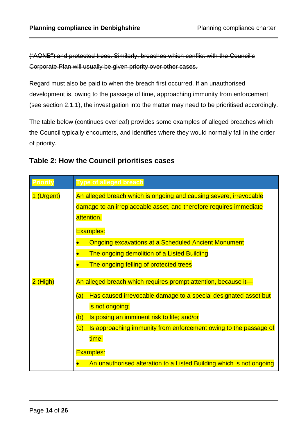("AONB") and protected trees. Similarly, breaches which conflict with the Council's Corporate Plan will usually be given priority over other cases.

Regard must also be paid to when the breach first occurred. If an unauthorised development is, owing to the passage of time, approaching immunity from enforcement (see section 2.1.1), the investigation into the matter may need to be prioritised accordingly.

The table below (continues overleaf) provides some examples of alleged breaches which the Council typically encounters, and identifies where they would normally fall in the order of priority.

| <b>Priority</b> | <b>Type of alleged breach</b>                                           |  |
|-----------------|-------------------------------------------------------------------------|--|
| 1 (Urgent)      | An alleged breach which is ongoing and causing severe, irrevocable      |  |
|                 | damage to an irreplaceable asset, and therefore requires immediate      |  |
|                 | attention.                                                              |  |
|                 | <b>Examples:</b>                                                        |  |
|                 | <b>Ongoing excavations at a Scheduled Ancient Monument</b>              |  |
|                 | The ongoing demolition of a Listed Building                             |  |
|                 | The ongoing felling of protected trees                                  |  |
| 2 (High)        | An alleged breach which requires prompt attention, because it-          |  |
|                 | Has caused irrevocable damage to a special designated asset but<br>(a)  |  |
|                 | is not ongoing;                                                         |  |
|                 | Is posing an imminent risk to life; and/or<br>(b)                       |  |
|                 | Is approaching immunity from enforcement owing to the passage of<br>(c) |  |
|                 | time.                                                                   |  |
|                 | <b>Examples:</b>                                                        |  |
|                 | An unauthorised alteration to a Listed Building which is not ongoing    |  |

# **Table 2: How the Council prioritises cases**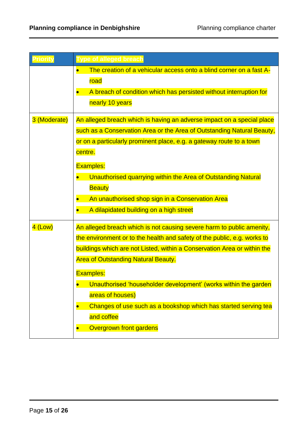| Priority     | <b>Type of alleged breach</b>                                            |
|--------------|--------------------------------------------------------------------------|
|              | The creation of a vehicular access onto a blind corner on a fast A-      |
|              | road                                                                     |
|              | A breach of condition which has persisted without interruption for       |
|              | nearly 10 years                                                          |
| 3 (Moderate) | An alleged breach which is having an adverse impact on a special place   |
|              | such as a Conservation Area or the Area of Outstanding Natural Beauty,   |
|              | or on a particularly prominent place, e.g. a gateway route to a town     |
|              | centre.                                                                  |
|              | <b>Examples:</b>                                                         |
|              | Unauthorised quarrying within the Area of Outstanding Natural            |
|              | <b>Beauty</b>                                                            |
|              | An unauthorised shop sign in a Conservation Area                         |
|              | A dilapidated building on a high street                                  |
| $4$ (Low)    | An alleged breach which is not causing severe harm to public amenity,    |
|              | the environment or to the health and safety of the public, e.g. works to |
|              | buildings which are not Listed, within a Conservation Area or within the |
|              | <b>Area of Outstanding Natural Beauty.</b>                               |
|              | <b>Examples:</b>                                                         |
|              | Unauthorised 'householder development' (works within the garden          |
|              | areas of houses)                                                         |
|              | Changes of use such as a bookshop which has started serving tea          |
|              | and coffee                                                               |
|              | <b>Overgrown front gardens</b>                                           |
|              |                                                                          |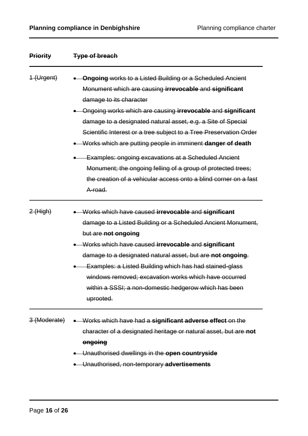| <b>Priority</b>         | <b>Type of breach</b>                                                                                                                                                                                                                                                                                                                                                                                                                                                                                                                                                                                                                  |
|-------------------------|----------------------------------------------------------------------------------------------------------------------------------------------------------------------------------------------------------------------------------------------------------------------------------------------------------------------------------------------------------------------------------------------------------------------------------------------------------------------------------------------------------------------------------------------------------------------------------------------------------------------------------------|
| 1 (Urgent)              | Ongoing works to a Listed Building or a Scheduled Ancient<br>Monument which are causing irrevocable and significant<br>damage to its character<br>Ongoing works which are causing <b>irrevocable</b> and significant<br>damage to a designated natural asset, e.g. a Site of Special<br>Scientific Interest or a tree subject to a Tree Preservation Order<br>Works which are putting people in imminent danger of death<br><b>Examples: ongoing excavations at a Scheduled Ancient</b><br>Monument; the ongoing felling of a group of protected trees;<br>the creation of a vehicular access onto a blind corner on a fast<br>A-road. |
| $2$ (High)              | Works which have caused irrevocable and significant<br>damage to a Listed Building or a Scheduled Ancient Monument,<br>but are not ongoing<br>Works which have caused irrevocable and significant<br>damage to a designated natural asset, but are not ongoing.<br>Examples: a Listed Building which has had stained-glass<br>windows removed; excavation works which have occurred<br>within a SSSI; a non-domestic hedgerow which has been<br>uprooted.                                                                                                                                                                              |
| <del>3 (Moderate)</del> | • Works which have had a significant adverse effect on the<br>character of a designated heritage or natural asset, but are not<br>ongoing<br>• Unauthorised dwellings in the open countryside<br>• Unauthorised, non-temporary advertisements                                                                                                                                                                                                                                                                                                                                                                                          |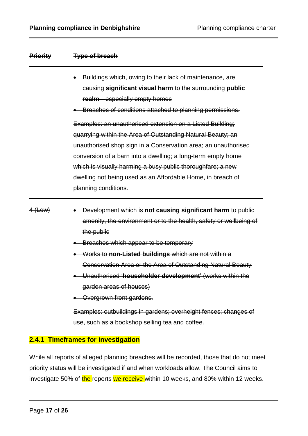| <b>Priority</b> | <b>Type of breach</b>                                                                                                                                                                                                                                                                                                                                                                                                                                                                                                                                    |
|-----------------|----------------------------------------------------------------------------------------------------------------------------------------------------------------------------------------------------------------------------------------------------------------------------------------------------------------------------------------------------------------------------------------------------------------------------------------------------------------------------------------------------------------------------------------------------------|
|                 | Buildings which, owing to their lack of maintenance, are<br>causing significant visual harm to the surrounding public<br>realm especially empty homes<br>Breaches of conditions attached to planning permissions.                                                                                                                                                                                                                                                                                                                                        |
|                 | Examples: an unauthorised extension on a Listed Building;<br>quarrying within the Area of Outstanding Natural Beauty; an<br>unauthorised shop sign in a Conservation area; an unauthorised<br>conversion of a barn into a dwelling; a long-term empty home<br>which is visually harming a busy public thoroughfare; a new<br>dwelling not being used as an Affordable Home, in breach of<br>planning conditions.                                                                                                                                         |
| 4 (Low)         | Development which is not causing significant harm to public<br>amenity, the environment or to the health, safety or wellbeing of<br>the public<br>Breaches which appear to be temporary<br>Works to non-Listed buildings which are not within a<br>Conservation Area or the Area of Outstanding Natural Beauty<br>Unauthorised 'householder development' (works within the<br>garden areas of houses)<br>Overgrown front gardens.<br>Examples: outbuildings in gardens; overheight fences; changes of<br>use, such as a bookshop selling tea and coffee. |
|                 | 2.4.1 Timeframes for investigation                                                                                                                                                                                                                                                                                                                                                                                                                                                                                                                       |

While all reports of alleged planning breaches will be recorded, those that do not meet priority status will be investigated if and when workloads allow. The Council aims to investigate 50% of the reports we receive within 10 weeks, and 80% within 12 weeks.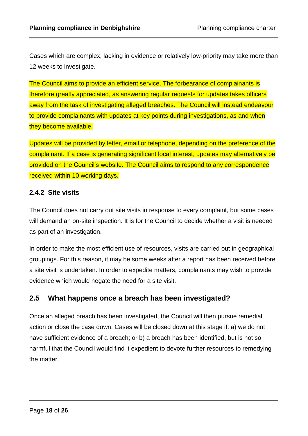Cases which are complex, lacking in evidence or relatively low-priority may take more than 12 weeks to investigate.

The Council aims to provide an efficient service. The forbearance of complainants is therefore greatly appreciated, as answering regular requests for updates takes officers away from the task of investigating alleged breaches. The Council will instead endeavour to provide complainants with updates at key points during investigations, as and when they become available.

Updates will be provided by letter, email or telephone, depending on the preference of the complainant. If a case is generating significant local interest, updates may alternatively be provided on the Council's website. The Council aims to respond to any correspondence received within 10 working days.

#### <span id="page-17-0"></span>**2.4.2 Site visits**

The Council does not carry out site visits in response to every complaint, but some cases will demand an on-site inspection. It is for the Council to decide whether a visit is needed as part of an investigation.

In order to make the most efficient use of resources, visits are carried out in geographical groupings. For this reason, it may be some weeks after a report has been received before a site visit is undertaken. In order to expedite matters, complainants may wish to provide evidence which would negate the need for a site visit.

# <span id="page-17-1"></span>**2.5 What happens once a breach has been investigated?**

Once an alleged breach has been investigated, the Council will then pursue remedial action or close the case down. Cases will be closed down at this stage if: a) we do not have sufficient evidence of a breach; or b) a breach has been identified, but is not so harmful that the Council would find it expedient to devote further resources to remedying the matter.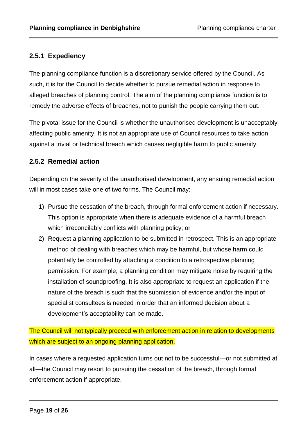# <span id="page-18-0"></span>**2.5.1 Expediency**

The planning compliance function is a discretionary service offered by the Council. As such, it is for the Council to decide whether to pursue remedial action in response to alleged breaches of planning control. The aim of the planning compliance function is to remedy the adverse effects of breaches, not to punish the people carrying them out.

The pivotal issue for the Council is whether the unauthorised development is unacceptably affecting public amenity. It is not an appropriate use of Council resources to take action against a trivial or technical breach which causes negligible harm to public amenity.

#### <span id="page-18-1"></span>**2.5.2 Remedial action**

Depending on the severity of the unauthorised development, any ensuing remedial action will in most cases take one of two forms. The Council may:

- 1) Pursue the cessation of the breach, through formal enforcement action if necessary. This option is appropriate when there is adequate evidence of a harmful breach which irreconcilably conflicts with planning policy; or
- 2) Request a planning application to be submitted in retrospect. This is an appropriate method of dealing with breaches which may be harmful, but whose harm could potentially be controlled by attaching a condition to a retrospective planning permission. For example, a planning condition may mitigate noise by requiring the installation of soundproofing. It is also appropriate to request an application if the nature of the breach is such that the submission of evidence and/or the input of specialist consultees is needed in order that an informed decision about a development's acceptability can be made.

The Council will not typically proceed with enforcement action in relation to developments which are subject to an ongoing planning application.

In cases where a requested application turns out not to be successful—or not submitted at all—the Council may resort to pursuing the cessation of the breach, through formal enforcement action if appropriate.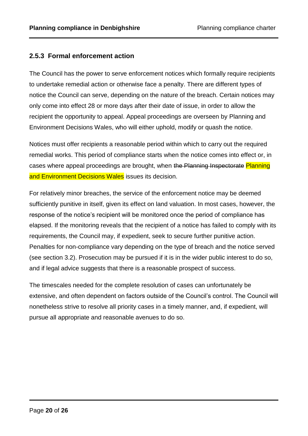# <span id="page-19-0"></span>**2.5.3 Formal enforcement action**

The Council has the power to serve enforcement notices which formally require recipients to undertake remedial action or otherwise face a penalty. There are different types of notice the Council can serve, depending on the nature of the breach. Certain notices may only come into effect 28 or more days after their date of issue, in order to allow the recipient the opportunity to appeal. Appeal proceedings are overseen by Planning and Environment Decisions Wales, who will either uphold, modify or quash the notice.

Notices must offer recipients a reasonable period within which to carry out the required remedial works. This period of compliance starts when the notice comes into effect or, in cases where appeal proceedings are brought, when the Planning Inspectorate Planning and Environment Decisions Wales issues its decision.

For relatively minor breaches, the service of the enforcement notice may be deemed sufficiently punitive in itself, given its effect on land valuation. In most cases, however, the response of the notice's recipient will be monitored once the period of compliance has elapsed. If the monitoring reveals that the recipient of a notice has failed to comply with its requirements, the Council may, if expedient, seek to secure further punitive action. Penalties for non-compliance vary depending on the type of breach and the notice served (see section 3.2). Prosecution may be pursued if it is in the wider public interest to do so, and if legal advice suggests that there is a reasonable prospect of success.

The timescales needed for the complete resolution of cases can unfortunately be extensive, and often dependent on factors outside of the Council's control. The Council will nonetheless strive to resolve all priority cases in a timely manner, and, if expedient, will pursue all appropriate and reasonable avenues to do so.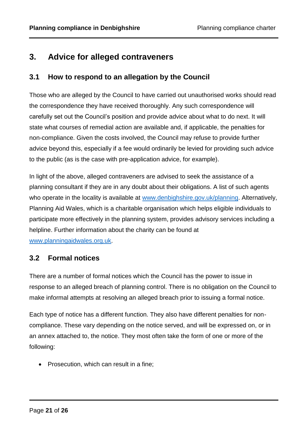# <span id="page-20-0"></span>**3. Advice for alleged contraveners**

# <span id="page-20-1"></span>**3.1 How to respond to an allegation by the Council**

Those who are alleged by the Council to have carried out unauthorised works should read the correspondence they have received thoroughly. Any such correspondence will carefully set out the Council's position and provide advice about what to do next. It will state what courses of remedial action are available and, if applicable, the penalties for non-compliance. Given the costs involved, the Council may refuse to provide further advice beyond this, especially if a fee would ordinarily be levied for providing such advice to the public (as is the case with pre-application advice, for example).

In light of the above, alleged contraveners are advised to seek the assistance of a planning consultant if they are in any doubt about their obligations. A list of such agents who operate in the locality is available at [www.denbighshire.gov.uk/planning.](http://www.denbighshire.gov.uk/planning) Alternatively, Planning Aid Wales, which is a charitable organisation which helps eligible individuals to participate more effectively in the planning system, provides advisory services including a helpline. Further information about the charity can be found at [www.planningaidwales.org.uk.](http://www.planningaidwales.org.uk/)

## <span id="page-20-2"></span>**3.2 Formal notices**

There are a number of formal notices which the Council has the power to issue in response to an alleged breach of planning control. There is no obligation on the Council to make informal attempts at resolving an alleged breach prior to issuing a formal notice.

Each type of notice has a different function. They also have different penalties for noncompliance. These vary depending on the notice served, and will be expressed on, or in an annex attached to, the notice. They most often take the form of one or more of the following:

• Prosecution, which can result in a fine;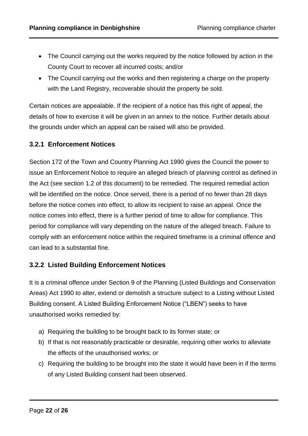- The Council carrying out the works required by the notice followed by action in the County Court to recover all incurred costs; and/or
- The Council carrying out the works and then registering a charge on the property with the Land Registry, recoverable should the property be sold.

Certain notices are appealable. If the recipient of a notice has this right of appeal, the details of how to exercise it will be given in an annex to the notice. Further details about the grounds under which an appeal can be raised will also be provided.

#### <span id="page-21-0"></span>**3.2.1 Enforcement Notices**

Section 172 of the Town and Country Planning Act 1990 gives the Council the power to issue an Enforcement Notice to require an alleged breach of planning control as defined in the Act (see section 1.2 of this document) to be remedied. The required remedial action will be identified on the notice. Once served, there is a period of no fewer than 28 days before the notice comes into effect, to allow its recipient to raise an appeal. Once the notice comes into effect, there is a further period of time to allow for compliance. This period for compliance will vary depending on the nature of the alleged breach. Failure to comply with an enforcement notice within the required timeframe is a criminal offence and can lead to a substantial fine.

#### <span id="page-21-1"></span>**3.2.2 Listed Building Enforcement Notices**

It is a criminal offence under Section 9 of the Planning (Listed Buildings and Conservation Areas) Act 1990 to alter, extend or demolish a structure subject to a Listing without Listed Building consent. A Listed Building Enforcement Notice ("LBEN") seeks to have unauthorised works remedied by:

- a) Requiring the building to be brought back to its former state; or
- b) If that is not reasonably practicable or desirable, requiring other works to alleviate the effects of the unauthorised works; or
- c) Requiring the building to be brought into the state it would have been in if the terms of any Listed Building consent had been observed.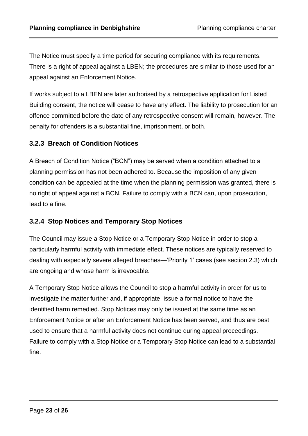The Notice must specify a time period for securing compliance with its requirements. There is a right of appeal against a LBEN; the procedures are similar to those used for an appeal against an Enforcement Notice.

If works subject to a LBEN are later authorised by a retrospective application for Listed Building consent, the notice will cease to have any effect. The liability to prosecution for an offence committed before the date of any retrospective consent will remain, however. The penalty for offenders is a substantial fine, imprisonment, or both.

## <span id="page-22-0"></span>**3.2.3 Breach of Condition Notices**

A Breach of Condition Notice ("BCN") may be served when a condition attached to a planning permission has not been adhered to. Because the imposition of any given condition can be appealed at the time when the planning permission was granted, there is no right of appeal against a BCN. Failure to comply with a BCN can, upon prosecution, lead to a fine.

#### <span id="page-22-1"></span>**3.2.4 Stop Notices and Temporary Stop Notices**

The Council may issue a Stop Notice or a Temporary Stop Notice in order to stop a particularly harmful activity with immediate effect. These notices are typically reserved to dealing with especially severe alleged breaches—'Priority 1' cases (see section 2.3) which are ongoing and whose harm is irrevocable.

A Temporary Stop Notice allows the Council to stop a harmful activity in order for us to investigate the matter further and, if appropriate, issue a formal notice to have the identified harm remedied. Stop Notices may only be issued at the same time as an Enforcement Notice or after an Enforcement Notice has been served, and thus are best used to ensure that a harmful activity does not continue during appeal proceedings. Failure to comply with a Stop Notice or a Temporary Stop Notice can lead to a substantial fine.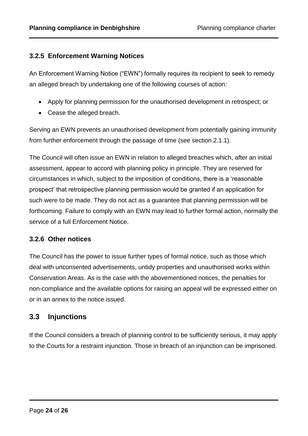#### <span id="page-23-0"></span>**3.2.5 Enforcement Warning Notices**

An Enforcement Warning Notice ("EWN") formally requires its recipient to seek to remedy an alleged breach by undertaking one of the following courses of action:

- Apply for planning permission for the unauthorised development in retrospect; or
- Cease the alleged breach.

Serving an EWN prevents an unauthorised development from potentially gaining immunity from further enforcement through the passage of time (see section 2.1.1).

The Council will often issue an EWN in relation to alleged breaches which, after an initial assessment, appear to accord with planning policy in principle. They are reserved for circumstances in which, subject to the imposition of conditions, there is a 'reasonable prospect' that retrospective planning permission would be granted if an application for such were to be made. They do not act as a guarantee that planning permission will be forthcoming. Failure to comply with an EWN may lead to further formal action, normally the service of a full Enforcement Notice.

#### <span id="page-23-1"></span>**3.2.6 Other notices**

The Council has the power to issue further types of formal notice, such as those which deal with unconsented advertisements, untidy properties and unauthorised works within Conservation Areas. As is the case with the abovementioned notices, the penalties for non-compliance and the available options for raising an appeal will be expressed either on or in an annex to the notice issued.

## <span id="page-23-2"></span>**3.3 Injunctions**

If the Council considers a breach of planning control to be sufficiently serious, it may apply to the Courts for a restraint injunction. Those in breach of an injunction can be imprisoned.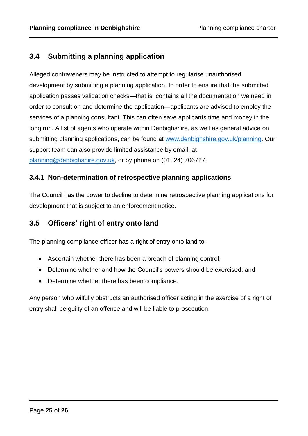# <span id="page-24-0"></span>**3.4 Submitting a planning application**

Alleged contraveners may be instructed to attempt to regularise unauthorised development by submitting a planning application. In order to ensure that the submitted application passes validation checks—that is, contains all the documentation we need in order to consult on and determine the application—applicants are advised to employ the services of a planning consultant. This can often save applicants time and money in the long run. A list of agents who operate within Denbighshire, as well as general advice on submitting planning applications, can be found at [www.denbighshire.gov.uk/planning.](http://www.denbighshire.gov.uk/planning) Our support team can also provide limited assistance by email, at [planning@denbighshire.gov.uk,](mailto:planning@denbighshire.gov.uk) or by phone on (01824) 706727.

## <span id="page-24-1"></span>**3.4.1 Non-determination of retrospective planning applications**

The Council has the power to decline to determine retrospective planning applications for development that is subject to an enforcement notice.

# <span id="page-24-2"></span>**3.5 Officers' right of entry onto land**

The planning compliance officer has a right of entry onto land to:

- Ascertain whether there has been a breach of planning control;
- Determine whether and how the Council's powers should be exercised; and
- Determine whether there has been compliance.

Any person who wilfully obstructs an authorised officer acting in the exercise of a right of entry shall be guilty of an offence and will be liable to prosecution.